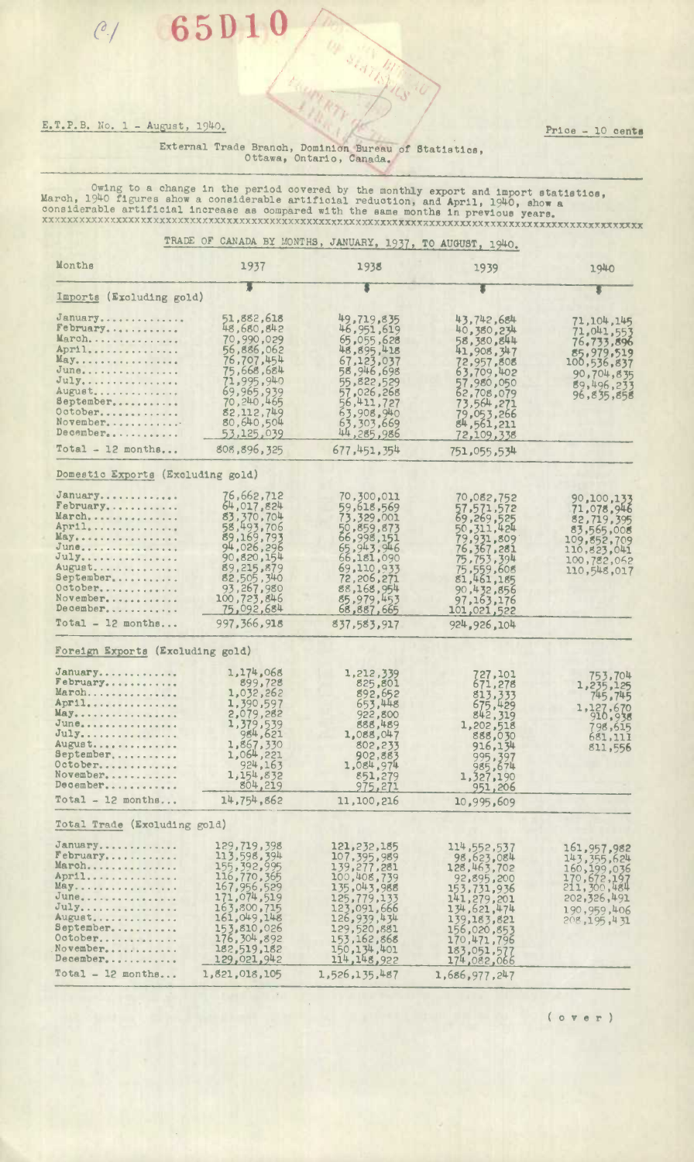## E.T.P.B. No. 1 - August, 1940. / Price - 10 cents

**65D 10,.** 

## External Trade Branch, Dominion Bureau of Statistics, Ottawa, Ontario, Canada.

/ 4

Owing to a change in the period covered by the monthly export and import statistics,<br>March, 1940 figures show a considerable artificial reduction, and April, 1940, show a<br>considerable artificial increase as compared with t **xxxxxxxxxxx xxxxx xxxxxxxxxxxxxxxxxxxxxxxxxxxxxxxxxxxxxxxxxxxxxxxxxxxxxxxxxxxxxxxxxxxxxxxxxxlxxxxxxx <sup>x</sup>**

OF STATISTICS

|                                                                                                                                                |                                                                                                                                                                                        | TRADE OF CANADA BY MONTHS, JANUARY, 1937, TO AUGUST, 1940.                                                                                                                                   |                                                                                                                                                                                                |                                                                                                                            |
|------------------------------------------------------------------------------------------------------------------------------------------------|----------------------------------------------------------------------------------------------------------------------------------------------------------------------------------------|----------------------------------------------------------------------------------------------------------------------------------------------------------------------------------------------|------------------------------------------------------------------------------------------------------------------------------------------------------------------------------------------------|----------------------------------------------------------------------------------------------------------------------------|
| Months                                                                                                                                         | 1937                                                                                                                                                                                   | 1938                                                                                                                                                                                         | 1939                                                                                                                                                                                           | 1940                                                                                                                       |
| Imports (Excluding gold)                                                                                                                       |                                                                                                                                                                                        |                                                                                                                                                                                              |                                                                                                                                                                                                |                                                                                                                            |
| January<br>February<br>March<br>April<br>May                                                                                                   | 51,882,618<br>48,680,842<br>70,990,029<br>56,886,062<br>76,707,454                                                                                                                     | 49,719,835<br>46, 951, 619<br>65,055,628<br>48,895,418<br>67,123,037                                                                                                                         | 43,742,684<br>40,380,234<br>58,380,844<br>41,908,347<br>72,957,808                                                                                                                             | 71,104,145<br>71,041,553<br>76,733,896<br>85,979,519<br>100,536,837                                                        |
| June<br>July<br>August<br>September<br>October<br>November<br>December                                                                         | 75,668,684<br>71,995,940<br>69.965.939<br>70, 240, 465<br>82,112,749<br>80,640,504<br>53,125,039                                                                                       | 58,946,698<br>55,822,529<br>57,026,268<br>56,411,727<br>63,908,940<br>63,303,669<br>44,285,986                                                                                               | 63,709,402<br>57,980,050<br>62,708,079<br>73,564,271<br>79,053,266<br>84,561,211<br>72,109,338                                                                                                 | 90,704,835<br>89,496,233<br>96,835,858                                                                                     |
| Total $-12$ months                                                                                                                             | 808,896,325                                                                                                                                                                            | 677,451,354                                                                                                                                                                                  | 751,055,534                                                                                                                                                                                    |                                                                                                                            |
| Domestic Exports (Excluding gold)                                                                                                              |                                                                                                                                                                                        |                                                                                                                                                                                              |                                                                                                                                                                                                |                                                                                                                            |
| January<br>February<br>March,<br>April<br>May<br>June<br>July<br>August<br>September<br>October<br>November<br>December<br>$Total - 12$ months | 76,662,712<br>64,017,824<br>83,370,704<br>58,493,706<br>89,169,793<br>94,026,296<br>90,820,154<br>89,215,879<br>82,505,340<br>93,267,980<br>100,723,846<br>75,092,684<br>997, 366, 918 | 70,300,011<br>59,618,569<br>73,329,001<br>50,859,873<br>66,998,151<br>65,943,946<br>66,181,090<br>69,110,933<br>72,206,271<br>88,168,954<br>85,979,453<br>68,887,665<br>837,583,917          | 70,082,752<br>57,571,572<br>69,269,525<br>50, 311, 424<br>79,931,809<br>76, 367, 281<br>75, 753, 394<br>75,559,608<br>81,461,185<br>90,432,856<br>97, 163, 176<br>101,021,522<br>924, 926, 104 | 90,100,133<br>71,078,946<br>82,719,395<br>83,565,008<br>109, 852, 709<br>110, 823, 041<br>100,782,062<br>110,548,017       |
| Foreign Exports (Excluding gold)                                                                                                               |                                                                                                                                                                                        |                                                                                                                                                                                              |                                                                                                                                                                                                |                                                                                                                            |
| January<br>February<br>March<br>April<br>May.<br>June<br>July<br>August<br>September<br>October<br>November<br>December                        | 1,174,068<br>899,728<br>1,032,262<br>1,390,597<br>2,079,282<br>1,379,539<br>984,621<br>1,867,330<br>1,064,221<br>924,163<br>1,154,832<br>804, 219                                      | 1,212,339<br>825,801<br>892,652<br>653,448<br>922,800<br>888,489<br>1,088,047<br>802,233<br>902,883<br>1,084,974<br>851,279<br>975,271                                                       | 727,101<br>671,278<br>813,333<br>675,429<br>842,319<br>1,202,518<br>888,030<br>916,134<br>995, 397<br>985, 674<br>1,327,190<br>951,206                                                         | 753,704<br>1,235,125<br>745,745<br>1,127,670<br>798,615<br>681,111<br>811,556                                              |
| $Total - 12 months$                                                                                                                            | 14,754,862                                                                                                                                                                             | 11,100,216                                                                                                                                                                                   | 10,995,609                                                                                                                                                                                     |                                                                                                                            |
| Total Trade (Excluding gold)                                                                                                                   |                                                                                                                                                                                        |                                                                                                                                                                                              |                                                                                                                                                                                                |                                                                                                                            |
| January<br>February<br>March<br>April<br>May.<br>June<br>July<br>August<br>September<br>October<br>November<br>December                        | 129,719,398<br>113,598,394<br>155, 392, 995<br>116,770,365<br>167, 956, 529<br>171,074,519<br>163,800,715<br>161,049,148<br>153,810,026<br>176, 304, 892<br>182,519,182<br>129,021,942 | 121, 232, 185<br>107, 395, 989<br>139, 277, 281<br>100,408,739<br>135,043,988<br>125,779,133<br>123,091,666<br>126,939,434<br>129,520,881<br>153, 162, 868<br>150, 134, 401<br>114, 148, 922 | 114, 552, 537<br>98,623,084<br>128,463,702<br>92,895,200<br>153,731,936<br>141,279,201<br>134,621,474<br>139,183,821<br>156,020,853<br>170,471,796<br>183,051,577<br>174,082,066               | 161,957,982<br>143, 355, 624<br>160, 199, 036<br>170,672,197<br>211,300,484<br>202,326,491<br>190,959,406<br>208, 195, 431 |
| $Total - 12 months$                                                                                                                            | 1,821,018,105                                                                                                                                                                          | 1,526,135,487                                                                                                                                                                                | 1,686,977,247                                                                                                                                                                                  |                                                                                                                            |

( o v e r )